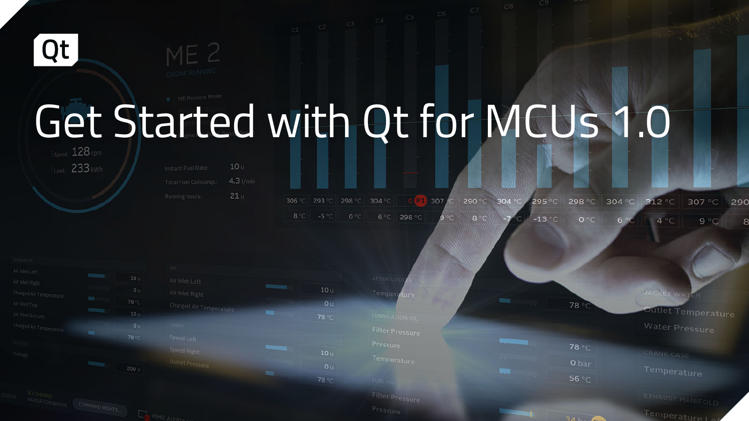

# Get Started with Qt for MCUs 1.0

Load: 233 kWh

 $10<sub>u</sub>$  $4.3$   $1/min$  $21<sub>U</sub>$ 

|  |  |  |  |  |  | 806 °C 293 °C 298 °C 304 °C <b>0 <mark>CL</mark>,</b> 307 ∕C 290 °C 304 °C 295 °C 298 °C 304 °C 312 °C 307 °C 29 |  |
|--|--|--|--|--|--|------------------------------------------------------------------------------------------------------------------|--|
|  |  |  |  |  |  | 8°C -5°C 0°C 6°C 298°C 9°C 8°C -7°C -13°C 0°C 6°C 4°C 9°C                                                        |  |

 $10<sub>11</sub>$  $0<sub>U</sub>$ 

 $10<sub>U</sub>$ 

78 °C

 $200V$ 

| AIR.                    |                 |
|-------------------------|-----------------|
| Air Inlet Left          |                 |
| Air Inlet Right         | 10 <sub>U</sub> |
| Charged Air Temperature | O <sub>u</sub>  |
|                         | 78 ℃            |
| TURBO                   |                 |
| Speed Left              |                 |
| <b>Speed Right</b>      | 10 <sub>U</sub> |
| Outlet Pressure         | O <sub>u</sub>  |
|                         | 78 ℃            |

| AFTER COOLER           |                                |       |
|------------------------|--------------------------------|-------|
| Temperature            |                                |       |
|                        | $\sim 10^{-1}$                 | 78 °C |
| LUBRICATION OIL        |                                |       |
| <b>Filter Pressure</b> |                                |       |
| Pressure               | $\sim$                         | 78 ℃  |
| Temperature            | <b>STATE</b><br><b>COLLEGE</b> | 0 bar |
| <b>FUEL OIL</b>        | <b>COLLEGE</b>                 | 56 ℃  |
| Filter Pressure        |                                |       |
| Pressure               |                                |       |

JACKET WAT

Outlet Temperature

**346-7** 

Temperature 1 of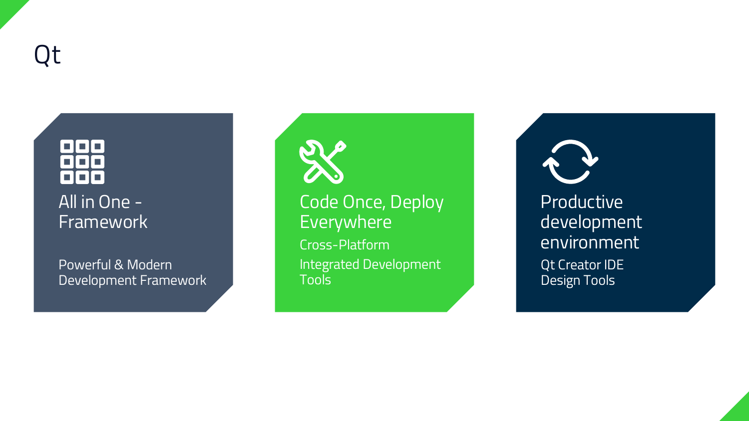Qt



Powerful & Modern Development Framework



Code Once, Deploy Everywhere Cross-Platform Integrated Development Tools

Productive development environment Qt Creator IDE Design Tools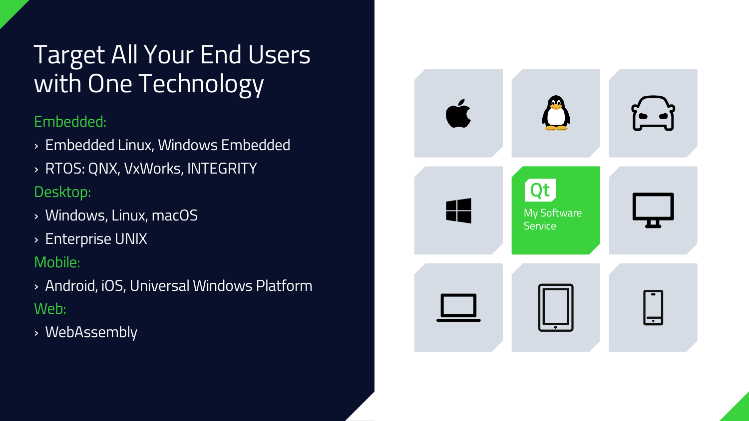### Target All Your End Users with One Technology

#### Embedded:

- › Embedded Linux, Windows Embedded
- › RTOS: QNX, VxWorks, INTEGRITY

#### Desktop:

- › Windows, Linux, macOS
- › Enterprise UNIX

#### Mobile:

- › Android, iOS, Universal Windows Platform Web:
- › WebAssembly

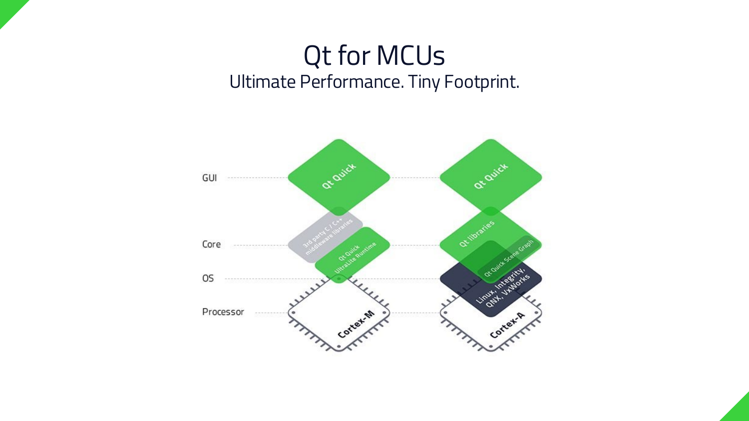### Qt for MCUs Ultimate Performance. Tiny Footprint.

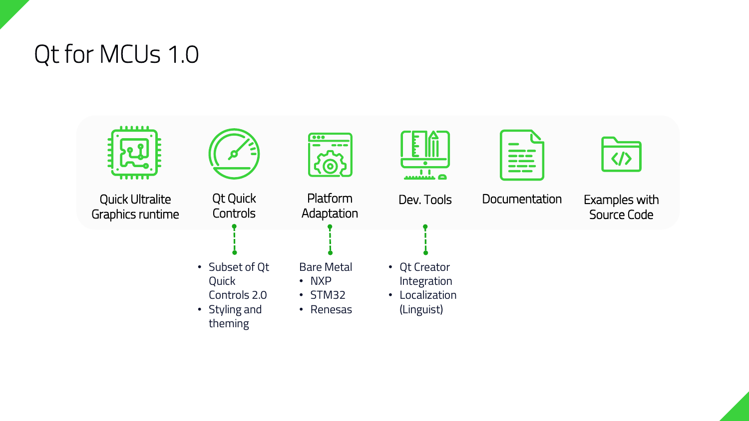

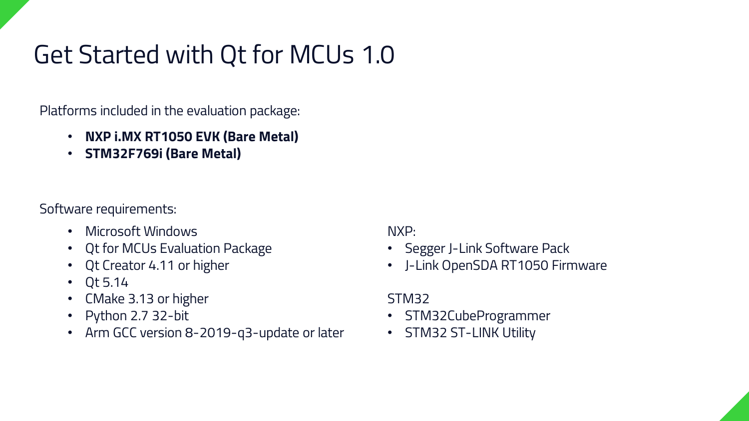### Get Started with Qt for MCUs 1.0

Platforms included in the evaluation package:

- **NXP i.MX RT1050 EVK (Bare Metal)**
- **STM32F769i (Bare Metal)**

Software requirements:

- Microsoft Windows
- Qt for MCUs Evaluation Package
- Qt Creator 4.11 or higher
- Qt 5.14
- CMake 3.13 or higher
- Python 2.7 32-bit
- Arm GCC version 8-2019-q3-update or later

NXP:

- Segger J-Link Software Pack
- J-Link OpenSDA RT1050 Firmware

#### STM32

- STM32CubeProgrammer
- STM32 ST-LINK Utility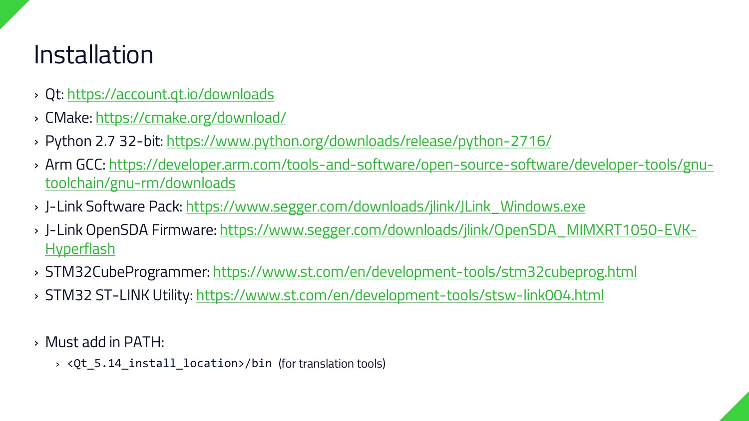### Installation

- › Qt:<https://account.qt.io/downloads>
- › CMake:<https://cmake.org/download/>
- › Python 2.7 32-bit:<https://www.python.org/downloads/release/python-2716/>
- › [Arm GCC: https://developer.arm.com/tools-and-software/open-source-software/developer-tools/gnu](https://developer.arm.com/tools-and-software/open-source-software/developer-tools/gnu-toolchain/gnu-rm/downloads)toolchain/gnu-rm/downloads
- › J-Link Software Pack: [https://www.segger.com/downloads/jlink/JLink\\_Windows.exe](https://www.segger.com/downloads/jlink/JLink_Windows.exe)
- › J-Link OpenSDA [Firmware: https://www.segger.com/downloads/jlink/OpenSDA\\_MIMXRT1050-EVK-](https://www.segger.com/downloads/jlink/OpenSDA_MIMXRT1050-EVK-Hyperflash)Hyperflash
- › STM32CubeProgrammer:<https://www.st.com/en/development-tools/stm32cubeprog.html>
- › STM32 ST-LINK Utility:<https://www.st.com/en/development-tools/stsw-link004.html>
- › Must add in PATH:
	- › <Qt\_5.14\_install\_location>/bin (for translation tools)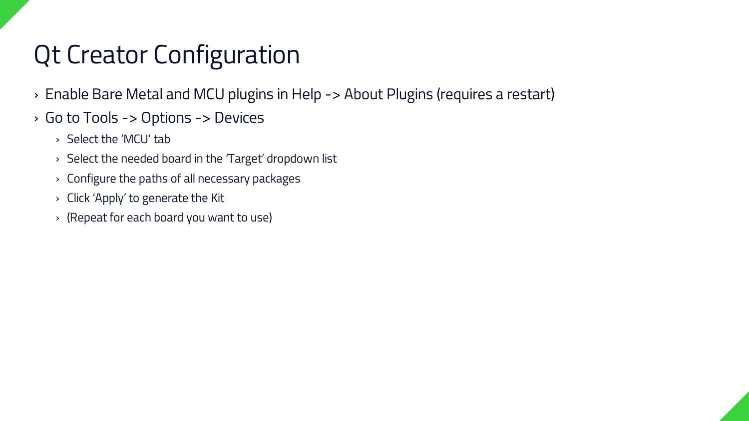### Qt Creator Configuration

- › Enable Bare Metal and MCU plugins in Help -> About Plugins (requires a restart)
- › Go to Tools -> Options -> Devices
	- › Select the 'MCU' tab
	- › Select the needed board in the 'Target' dropdown list
	- › Configure the paths of all necessary packages
	- › Click 'Apply' to generate the Kit
	- › (Repeat for each board you want to use)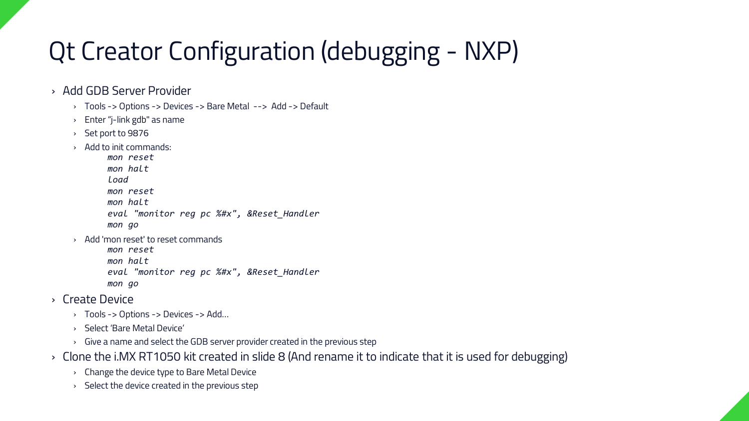### Qt Creator Configuration (debugging - NXP)

- › Add GDB Server Provider
	- › Tools -> Options -> Devices -> Bare Metal --> Add -> Default
	- › Enter "j-link gdb" as name
	- › Set port to 9876
	- › Add to init commands:

*mon reset mon halt load mon reset mon halt eval "monitor reg pc %#x", &Reset\_Handler mon go*

› Add 'mon reset' to reset commands

*mon reset mon halt eval "monitor reg pc %#x", &Reset\_Handler mon go*

- › Create Device
	- › Tools -> Options -> Devices -> Add…
	- › Select 'Bare Metal Device'
	- › Give a name and select the GDB server provider created in the previous step
- › Clone the i.MX RT1050 kit created in slide 8 (And rename it to indicate that it is used for debugging)
	- › Change the device type to Bare Metal Device
	- › Select the device created in the previous step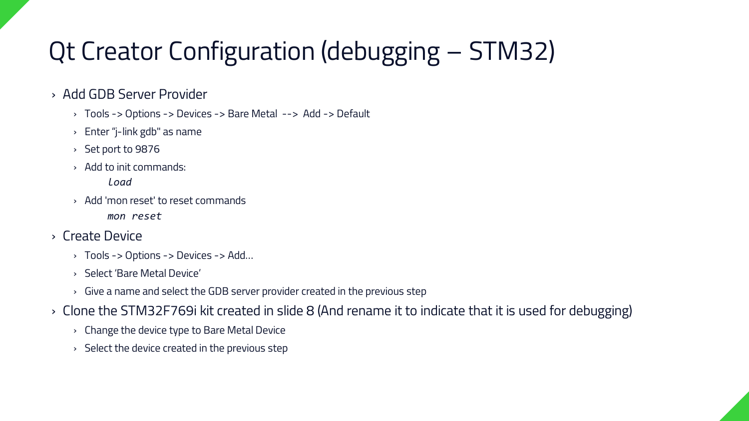### Qt Creator Configuration (debugging – STM32)

#### › Add GDB Server Provider

- › Tools -> Options -> Devices -> Bare Metal --> Add -> Default
- › Enter "j-link gdb" as name
- › Set port to 9876
- › Add to init commands:

*load*

› Add 'mon reset' to reset commands

*mon reset*

#### › Create Device

- › Tools -> Options -> Devices -> Add…
- › Select 'Bare Metal Device'
- › Give a name and select the GDB server provider created in the previous step
- › Clone the STM32F769i kit created in slide 8 (And rename it to indicate that it is used for debugging)
	- › Change the device type to Bare Metal Device
	- › Select the device created in the previous step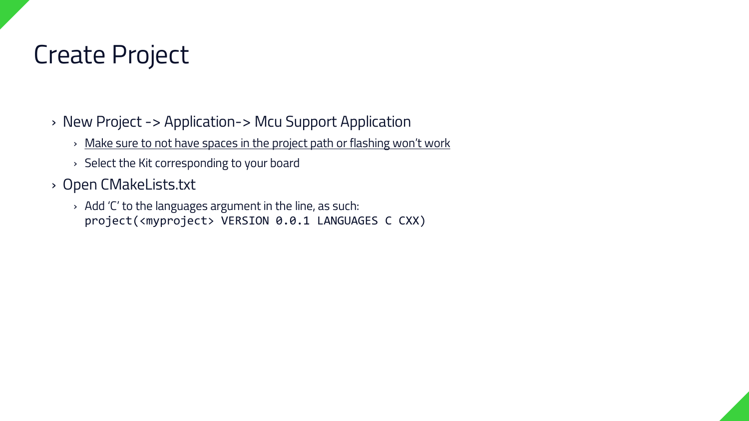### Create Project

› New Project -> Application-> Mcu Support Application

- › Make sure to not have spaces in the project path or flashing won't work
- › Select the Kit corresponding to your board
- › Open CMakeLists.txt
	- › Add 'C' to the languages argument in the line, as such: project(<myproject> VERSION 0.0.1 LANGUAGES C CXX)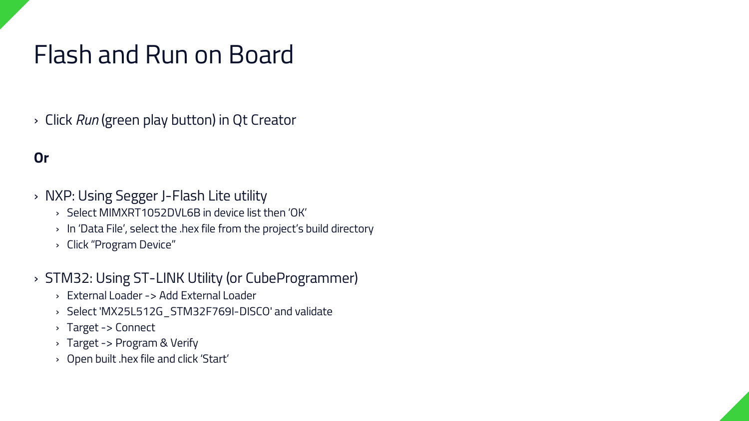### Flash and Run on Board

› Click *Run* (green play button) in Qt Creator

#### **Or**

- › NXP: Using Segger J-Flash Lite utility
	- › Select MIMXRT1052DVL6B in device list then 'OK'
	- › In 'Data File', select the .hex file from the project's build directory
	- › Click "Program Device"
- › STM32: Using ST-LINK Utility (or CubeProgrammer)
	- › External Loader -> Add External Loader
	- › Select 'MX25L512G\_STM32F769I-DISCO' and validate
	- › Target -> Connect
	- › Target -> Program & Verify
	- › Open built .hex file and click 'Start'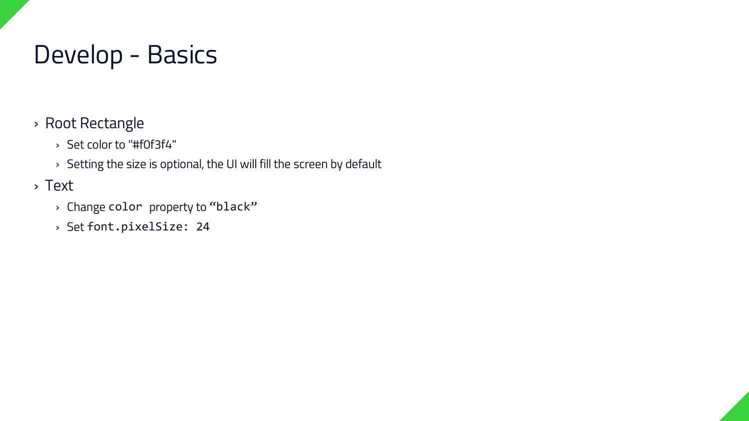### Develop - Basics

- › Root Rectangle
	- › Set color to "#f0f3f4"
	- › Setting the size is optional, the UI will fill the screen by default
- › Text
	- › Change color property to "black"
	- › Set font.pixelSize: 24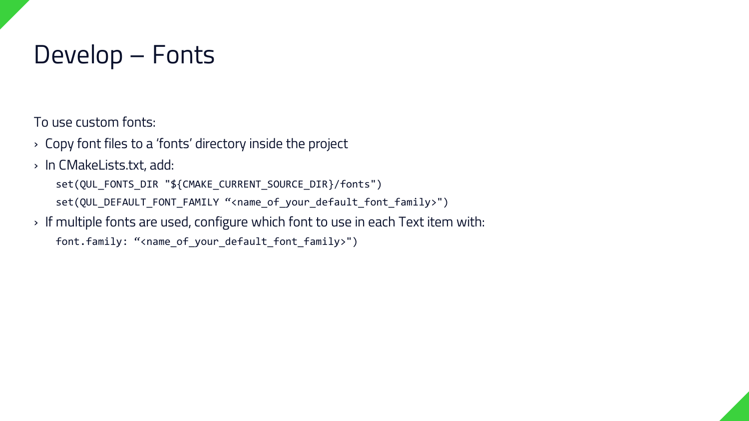### Develop – Fonts

To use custom fonts:

- › Copy font files to a 'fonts' directory inside the project
- › In CMakeLists.txt, add:
	- set(QUL\_FONTS\_DIR "\${CMAKE\_CURRENT\_SOURCE\_DIR}/fonts")
	- set(QUL\_DEFAULT\_FONT\_FAMILY "<name\_of\_your\_default\_font\_family>")
- › If multiple fonts are used, configure which font to use in each Text item with:
	- font.family: "<name\_of\_your\_default\_font\_family>")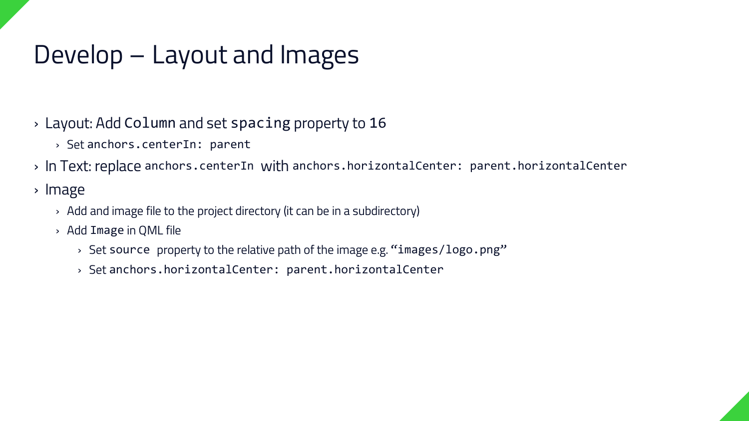### Develop – Layout and Images

› Layout: Add Column and set spacing property to 16

› Set anchors.centerIn: parent

› In Text: replace anchors.centerIn with anchors.horizontalCenter: parent.horizontalCenter

› Image

- › Add and image file to the project directory (it can be in a subdirectory)
- › Add Image in QML file
	- › Set source property to the relative path of the image e.g. "images/logo.png"
	- › Set anchors.horizontalCenter: parent.horizontalCenter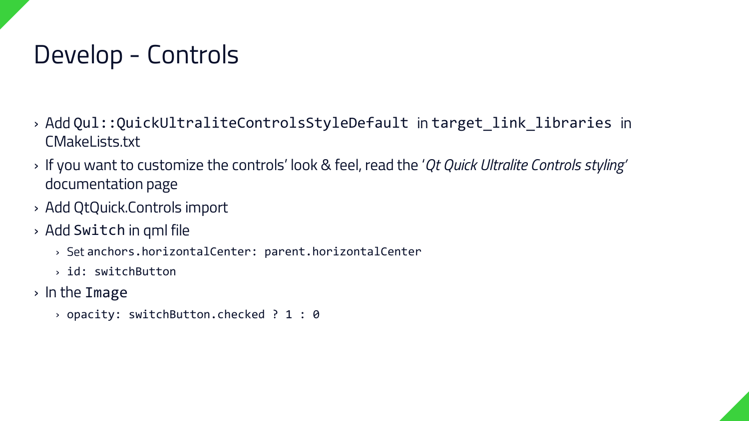### Develop - Controls

- › Add Qul::QuickUltraliteControlsStyleDefault in target\_link\_libraries in CMakeLists.txt
- › If you want to customize the controls' look & feel, read the '*Qt Quick Ultralite Controls styling'*  documentation page
- › Add QtQuick.Controls import
- › Add Switch in qml file
	- › Set anchors.horizontalCenter: parent.horizontalCenter
	- › id: switchButton
- › In the Image
	- › opacity: switchButton.checked ? 1 : 0

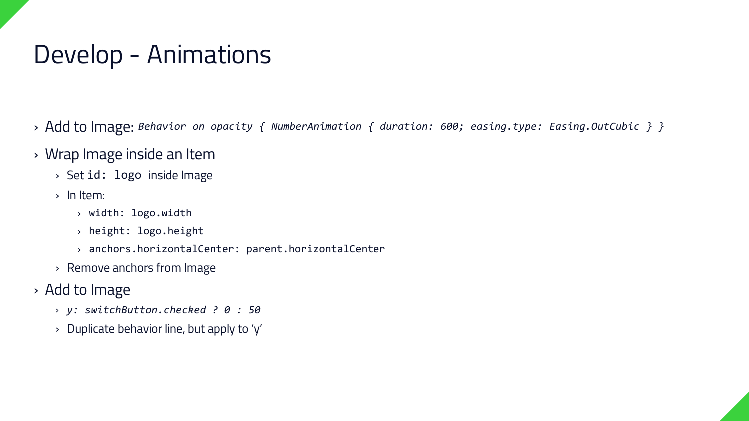### Develop - Animations

- › Add to Image: *Behavior on opacity { NumberAnimation { duration: 600; easing.type: Easing.OutCubic } }*
- › Wrap Image inside an Item
	- › Set id: logo inside Image
	- › In Item:
		- › width: logo.width
		- › height: logo.height
		- › anchors.horizontalCenter: parent.horizontalCenter
	- › Remove anchors from Image
- › Add to Image
	- › *y: switchButton.checked ? 0 : 50*
	- › Duplicate behavior line, but apply to 'y'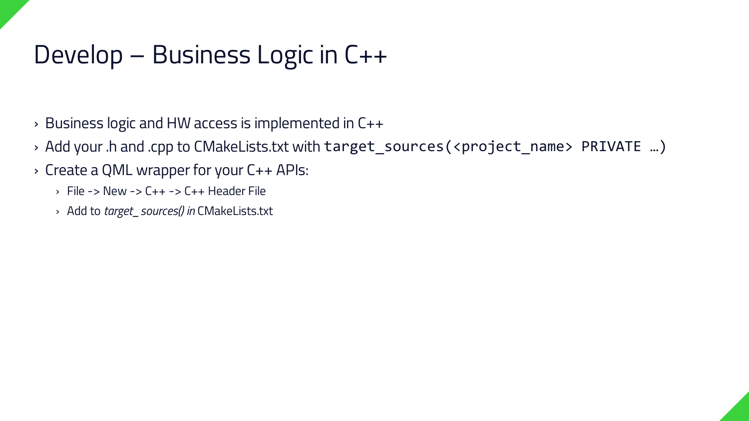### Develop – Business Logic in C++

- › Business logic and HW access is implemented in C++
- › Add your .h and .cpp to CMakeLists.txt with target\_sources(<project\_name> PRIVATE …)
- › Create a QML wrapper for your C++ APIs:
	- › File -> New -> C++ -> C++ Header File
	- › Add to *target\_sources() in* CMakeLists.txt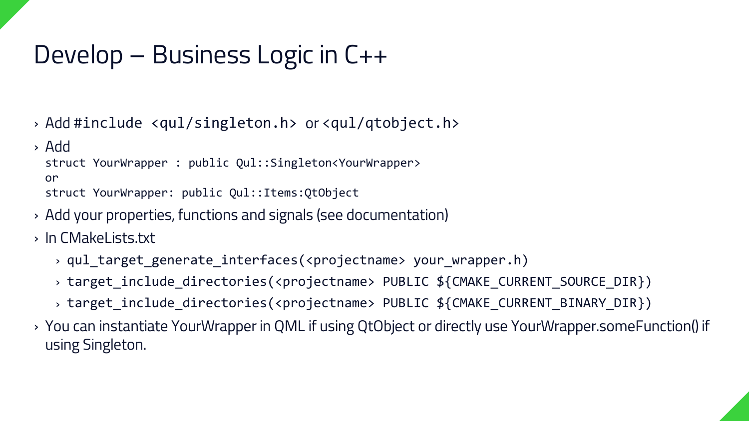### Develop – Business Logic in C++

› Add #include <qul/singleton.h> or <qul/qtobject.h>

› Add

struct YourWrapper : public Qul::Singleton<YourWrapper>

or

struct YourWrapper: public Qul::Items:QtObject

› Add your properties, functions and signals (see documentation)

› In CMakeLists.txt

- › qul\_target\_generate\_interfaces(<projectname> your\_wrapper.h)
- › target\_include\_directories(<projectname> PUBLIC \${CMAKE\_CURRENT\_SOURCE\_DIR})
- › target\_include\_directories(<projectname> PUBLIC \${CMAKE\_CURRENT\_BINARY\_DIR})
- › You can instantiate YourWrapper in QML if using QtObject or directly use YourWrapper.someFunction() if using Singleton.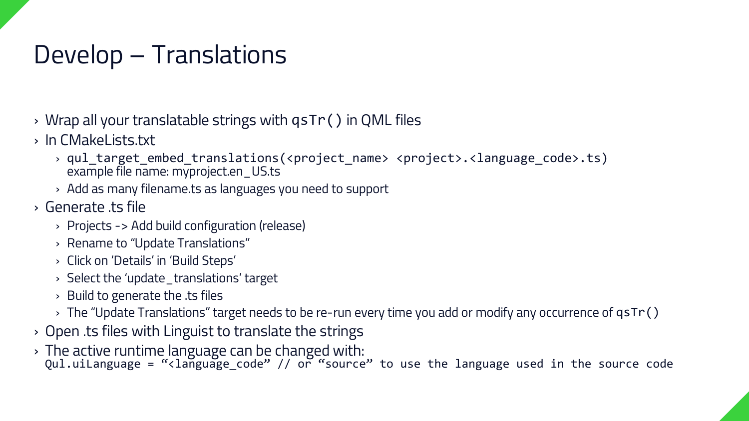### Develop – Translations

- › Wrap all your translatable strings with qsTr() in QML files
- › In CMakeLists.txt
	- › qul\_target\_embed\_translations(<project\_name> <project>.<language\_code>.ts) example file name: myproject.en\_US.ts
	- › Add as many filename.ts as languages you need to support
- › Generate .ts file
	- › Projects -> Add build configuration (release)
	- › Rename to "Update Translations"
	- › Click on 'Details' in 'Build Steps'
	- › Select the 'update\_translations' target
	- › Build to generate the .ts files
	- $\rightarrow$  The "Update Translations" target needs to be re-run every time you add or modify any occurrence of  $\textsf{qstr}(\bm{z})$
- › Open .ts files with Linguist to translate the strings
- › The active runtime language can be changed with: Qul.uiLanguage = "<language\_code" // or "source" to use the language used in the source code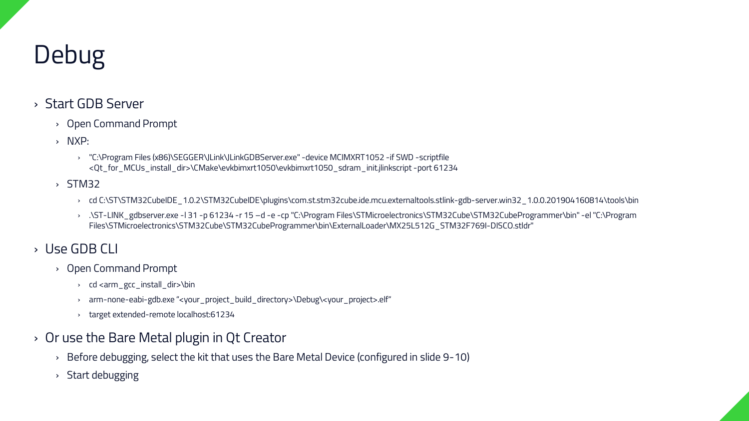### Debug

#### › Start GDB Server

- › Open Command Prompt
- › NXP:
	- › "C:\Program Files (x86)\SEGGER\JLink\JLinkGDBServer.exe" -device MCIMXRT1052 -if SWD -scriptfile <Qt\_for\_MCUs\_install\_dir>\CMake\evkbimxrt1050\evkbimxrt1050\_sdram\_init.jlinkscript -port 61234
- › STM32
	- › cd C:\ST\STM32CubeIDE\_1.0.2\STM32CubeIDE\plugins\com.st.stm32cube.ide.mcu.externaltools.stlink-gdb-server.win32\_1.0.0.201904160814\tools\bin
	- › .\ST-LINK\_gdbserver.exe -l 31 -p 61234 -r 15 –d -e -cp "C:\Program Files\STMicroelectronics\STM32Cube\STM32CubeProgrammer\bin" -el "C:\Program Files\STMicroelectronics\STM32Cube\STM32CubeProgrammer\bin\ExternalLoader\MX25L512G\_STM32F769I-DISCO.stldr"

#### › Use GDB CLI

- › Open Command Prompt
	- › cd <arm\_gcc\_install\_dir>\bin
	- › arm-none-eabi-gdb.exe "<your\_project\_build\_directory>\Debug\<your\_project>.elf"
	- › target extended-remote localhost:61234
- › Or use the Bare Metal plugin in Qt Creator
	- › Before debugging, select the kit that uses the Bare Metal Device (configured in slide 9-10)
	- › Start debugging